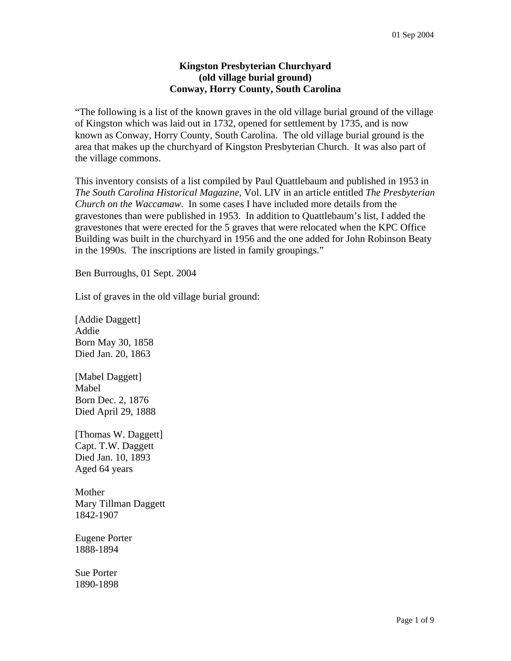## **Kingston Presbyterian Churchyard (old village burial ground) Conway, Horry County, South Carolina**

"The following is a list of the known graves in the old village burial ground of the village of Kingston which was laid out in 1732, opened for settlement by 1735, and is now known as Conway, Horry County, South Carolina. The old village burial ground is the area that makes up the churchyard of Kingston Presbyterian Church. It was also part of the village commons.

This inventory consists of a list compiled by Paul Quattlebaum and published in 1953 in *The South Carolina Historical Magazine,* Vol. LIV in an article entitled *The Presbyterian Church on the Waccamaw*. In some cases I have included more details from the gravestones than were published in 1953. In addition to Quattlebaum's list, I added the gravestones that were erected for the 5 graves that were relocated when the KPC Office Building was built in the churchyard in 1956 and the one added for John Robinson Beaty in the 1990s. The inscriptions are listed in family groupings."

Ben Burroughs, 01 Sept. 2004

List of graves in the old village burial ground:

[Addie Daggett] Addie Born May 30, 1858 Died Jan. 20, 1863

[Mabel Daggett] Mabel Born Dec. 2, 1876 Died April 29, 1888

[Thomas W. Daggett] Capt. T.W. Daggett Died Jan. 10, 1893 Aged 64 years

Mother Mary Tillman Daggett 1842-1907

Eugene Porter 1888-1894

Sue Porter 1890-1898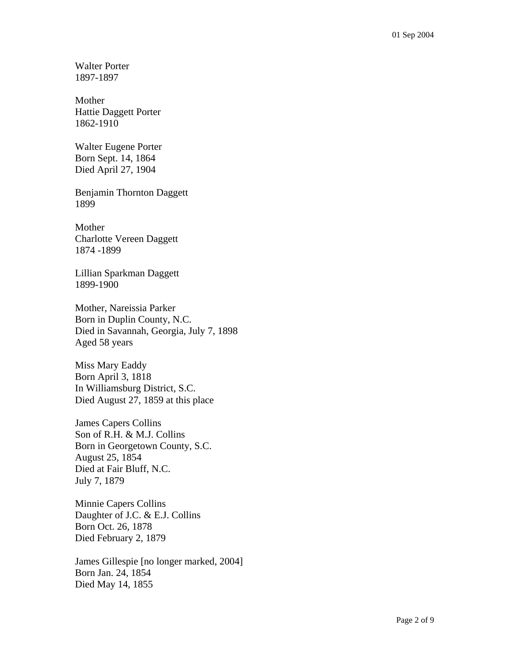Walter Porter 1897-1897

Mother Hattie Daggett Porter 1862-1910

Walter Eugene Porter Born Sept. 14, 1864 Died April 27, 1904

Benjamin Thornton Daggett 1899

Mother Charlotte Vereen Daggett 1874 -1899

Lillian Sparkman Daggett 1899-1900

Mother, Nareissia Parker Born in Duplin County, N.C. Died in Savannah, Georgia, July 7, 1898 Aged 58 years

Miss Mary Eaddy Born April 3, 1818 In Williamsburg District, S.C. Died August 27, 1859 at this place

James Capers Collins Son of R.H. & M.J. Collins Born in Georgetown County, S.C. August 25, 1854 Died at Fair Bluff, N.C. July 7, 1879

Minnie Capers Collins Daughter of J.C. & E.J. Collins Born Oct. 26, 1878 Died February 2, 1879

James Gillespie [no longer marked, 2004] Born Jan. 24, 1854 Died May 14, 1855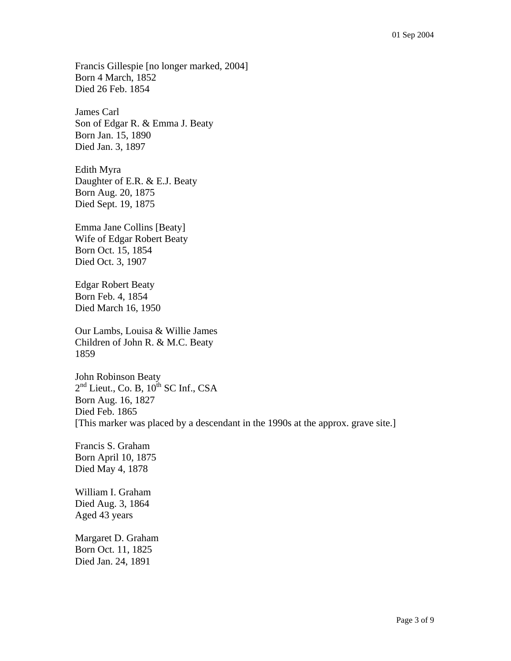Francis Gillespie [no longer marked, 2004] Born 4 March, 1852 Died 26 Feb. 1854

James Carl Son of Edgar R. & Emma J. Beaty Born Jan. 15, 1890 Died Jan. 3, 1897

Edith Myra Daughter of E.R. & E.J. Beaty Born Aug. 20, 1875 Died Sept. 19, 1875

Emma Jane Collins [Beaty] Wife of Edgar Robert Beaty Born Oct. 15, 1854 Died Oct. 3, 1907

Edgar Robert Beaty Born Feb. 4, 1854 Died March 16, 1950

Our Lambs, Louisa & Willie James Children of John R. & M.C. Beaty 1859

John Robinson Beaty  $2<sup>nd</sup>$  Lieut., Co. B,  $10<sup>th</sup>$  SC Inf., CSA Born Aug. 16, 1827 Died Feb. 1865 [This marker was placed by a descendant in the 1990s at the approx. grave site.]

Francis S. Graham Born April 10, 1875 Died May 4, 1878

William I. Graham Died Aug. 3, 1864 Aged 43 years

Margaret D. Graham Born Oct. 11, 1825 Died Jan. 24, 1891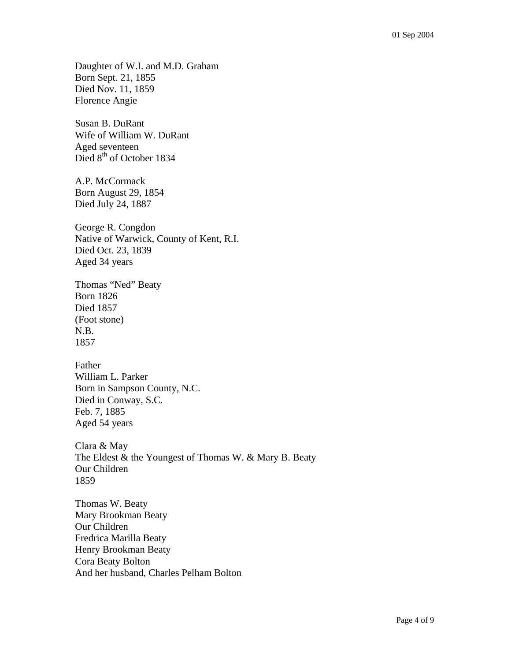Daughter of W.I. and M.D. Graham Born Sept. 21, 1855 Died Nov. 11, 1859 Florence Angie

Susan B. DuRant Wife of William W. DuRant Aged seventeen Died 8<sup>th</sup> of October 1834

A.P. McCormack Born August 29, 1854 Died July 24, 1887

George R. Congdon Native of Warwick, County of Kent, R.I. Died Oct. 23, 1839 Aged 34 years

Thomas "Ned" Beaty Born 1826 Died 1857 (Foot stone) N.B. 1857

Father William L. Parker Born in Sampson County, N.C. Died in Conway, S.C. Feb. 7, 1885 Aged 54 years

Clara & May The Eldest & the Youngest of Thomas W. & Mary B. Beaty Our Children 1859

Thomas W. Beaty Mary Brookman Beaty Our Children Fredrica Marilla Beaty Henry Brookman Beaty Cora Beaty Bolton And her husband, Charles Pelham Bolton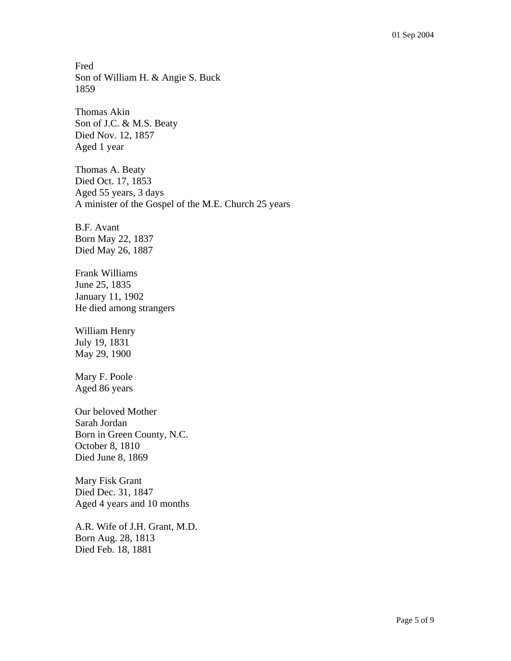Fred Son of William H. & Angie S. Buck 1859

Thomas Akin Son of J.C. & M.S. Beaty Died Nov. 12, 1857 Aged 1 year

Thomas A. Beaty Died Oct. 17, 1853 Aged 55 years, 3 days A minister of the Gospel of the M.E. Church 25 years

B.F. Avant Born May 22, 1837 Died May 26, 1887

Frank Williams June 25, 1835 January 11, 1902 He died among strangers

William Henry July 19, 1831 May 29, 1900

Mary F. Poole Aged 86 years

Our beloved Mother Sarah Jordan Born in Green County, N.C. October 8, 1810 Died June 8, 1869

Mary Fisk Grant Died Dec. 31, 1847 Aged 4 years and 10 months

A.R. Wife of J.H. Grant, M.D. Born Aug. 28, 1813 Died Feb. 18, 1881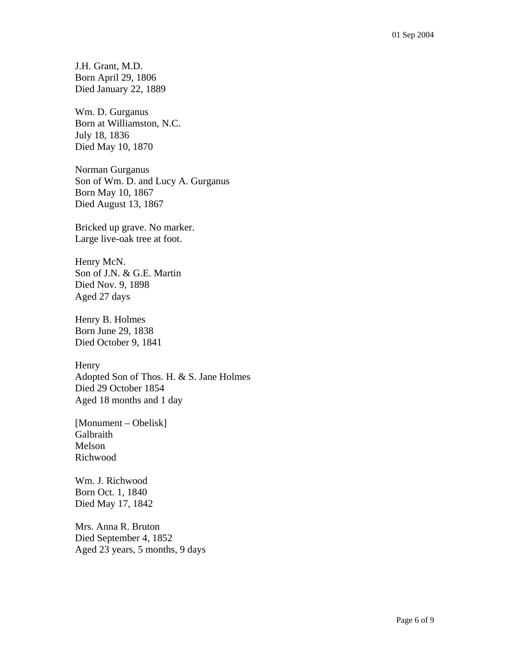J.H. Grant, M.D. Born April 29, 1806 Died January 22, 1889

Wm. D. Gurganus Born at Williamston, N.C. July 18, 1836 Died May 10, 1870

Norman Gurganus Son of Wm. D. and Lucy A. Gurganus Born May 10, 1867 Died August 13, 1867

Bricked up grave. No marker. Large live-oak tree at foot.

Henry McN. Son of J.N. & G.E. Martin Died Nov. 9, 1898 Aged 27 days

Henry B. Holmes Born June 29, 1838 Died October 9, 1841

**Henry** Adopted Son of Thos. H. & S. Jane Holmes Died 29 October 1854 Aged 18 months and 1 day

[Monument – Obelisk] **Galbraith** Melson Richwood

Wm. J. Richwood Born Oct. 1, 1840 Died May 17, 1842

Mrs. Anna R. Bruton Died September 4, 1852 Aged 23 years, 5 months, 9 days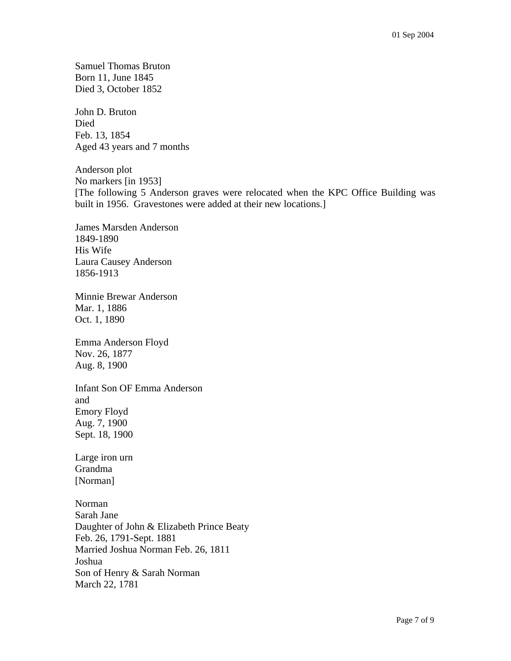Samuel Thomas Bruton Born 11, June 1845 Died 3, October 1852

John D. Bruton Died Feb. 13, 1854 Aged 43 years and 7 months

Anderson plot No markers [in 1953] [The following 5 Anderson graves were relocated when the KPC Office Building was built in 1956. Gravestones were added at their new locations.]

James Marsden Anderson 1849-1890 His Wife Laura Causey Anderson 1856-1913

Minnie Brewar Anderson Mar. 1, 1886 Oct. 1, 1890

Emma Anderson Floyd Nov. 26, 1877 Aug. 8, 1900

Infant Son OF Emma Anderson and Emory Floyd Aug. 7, 1900 Sept. 18, 1900

Large iron urn Grandma [Norman]

Norman Sarah Jane Daughter of John & Elizabeth Prince Beaty Feb. 26, 1791-Sept. 1881 Married Joshua Norman Feb. 26, 1811 Joshua Son of Henry & Sarah Norman March 22, 1781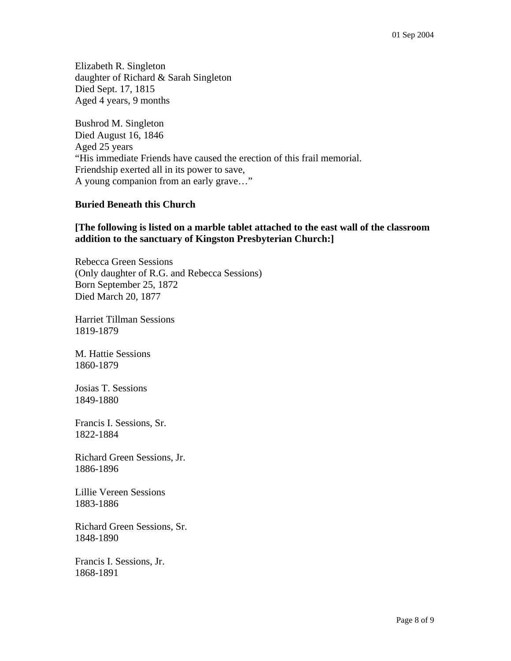Elizabeth R. Singleton daughter of Richard & Sarah Singleton Died Sept. 17, 1815 Aged 4 years, 9 months

Bushrod M. Singleton Died August 16, 1846 Aged 25 years "His immediate Friends have caused the erection of this frail memorial. Friendship exerted all in its power to save, A young companion from an early grave…"

## **Buried Beneath this Church**

## **[The following is listed on a marble tablet attached to the east wall of the classroom addition to the sanctuary of Kingston Presbyterian Church:]**

Rebecca Green Sessions (Only daughter of R.G. and Rebecca Sessions) Born September 25, 1872 Died March 20, 1877

Harriet Tillman Sessions 1819-1879

M. Hattie Sessions 1860-1879

Josias T. Sessions 1849-1880

Francis I. Sessions, Sr. 1822-1884

Richard Green Sessions, Jr. 1886-1896

Lillie Vereen Sessions 1883-1886

Richard Green Sessions, Sr. 1848-1890

Francis I. Sessions, Jr. 1868-1891